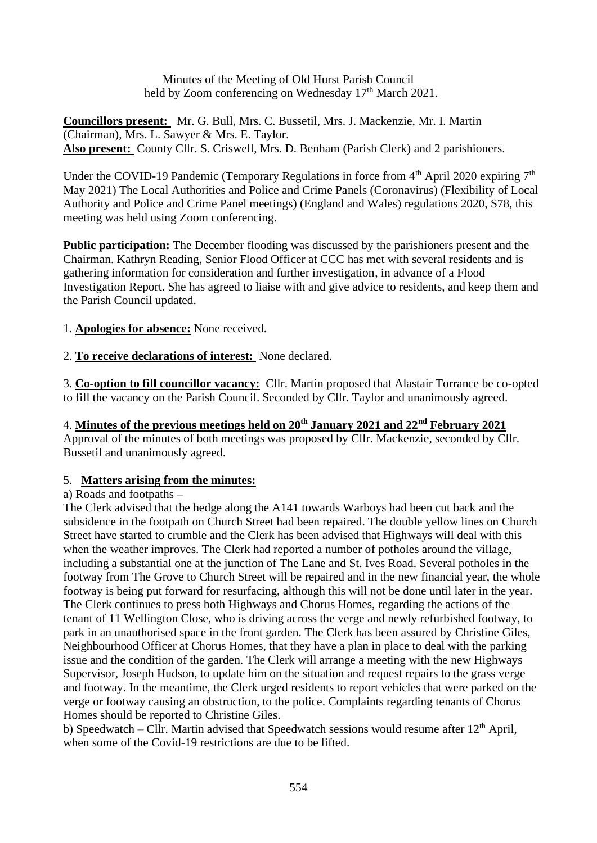Minutes of the Meeting of Old Hurst Parish Council held by Zoom conferencing on Wednesday  $17<sup>th</sup>$  March 2021.

**Councillors present:** Mr. G. Bull, Mrs. C. Bussetil, Mrs. J. Mackenzie, Mr. I. Martin (Chairman), Mrs. L. Sawyer & Mrs. E. Taylor. **Also present:** County Cllr. S. Criswell, Mrs. D. Benham (Parish Clerk) and 2 parishioners.

Under the COVID-19 Pandemic (Temporary Regulations in force from  $4<sup>th</sup>$  April 2020 expiring  $7<sup>th</sup>$ May 2021) The Local Authorities and Police and Crime Panels (Coronavirus) (Flexibility of Local Authority and Police and Crime Panel meetings) (England and Wales) regulations 2020, S78, this meeting was held using Zoom conferencing.

**Public participation:** The December flooding was discussed by the parishioners present and the Chairman. Kathryn Reading, Senior Flood Officer at CCC has met with several residents and is gathering information for consideration and further investigation, in advance of a Flood Investigation Report. She has agreed to liaise with and give advice to residents, and keep them and the Parish Council updated.

1. **Apologies for absence:** None received.

2. **To receive declarations of interest:** None declared.

3. **Co-option to fill councillor vacancy:** Cllr. Martin proposed that Alastair Torrance be co-opted to fill the vacancy on the Parish Council. Seconded by Cllr. Taylor and unanimously agreed.

# 4. **Minutes of the previous meetings held on 20th January 2021 and 22nd February 2021**

Approval of the minutes of both meetings was proposed by Cllr. Mackenzie, seconded by Cllr. Bussetil and unanimously agreed.

## 5. **Matters arising from the minutes:**

## a) Roads and footpaths –

The Clerk advised that the hedge along the A141 towards Warboys had been cut back and the subsidence in the footpath on Church Street had been repaired. The double yellow lines on Church Street have started to crumble and the Clerk has been advised that Highways will deal with this when the weather improves. The Clerk had reported a number of potholes around the village, including a substantial one at the junction of The Lane and St. Ives Road. Several potholes in the footway from The Grove to Church Street will be repaired and in the new financial year, the whole footway is being put forward for resurfacing, although this will not be done until later in the year. The Clerk continues to press both Highways and Chorus Homes, regarding the actions of the tenant of 11 Wellington Close, who is driving across the verge and newly refurbished footway, to park in an unauthorised space in the front garden. The Clerk has been assured by Christine Giles, Neighbourhood Officer at Chorus Homes, that they have a plan in place to deal with the parking issue and the condition of the garden. The Clerk will arrange a meeting with the new Highways Supervisor, Joseph Hudson, to update him on the situation and request repairs to the grass verge and footway. In the meantime, the Clerk urged residents to report vehicles that were parked on the verge or footway causing an obstruction, to the police. Complaints regarding tenants of Chorus Homes should be reported to Christine Giles.

b) Speedwatch – Cllr. Martin advised that Speedwatch sessions would resume after  $12<sup>th</sup>$  April, when some of the Covid-19 restrictions are due to be lifted.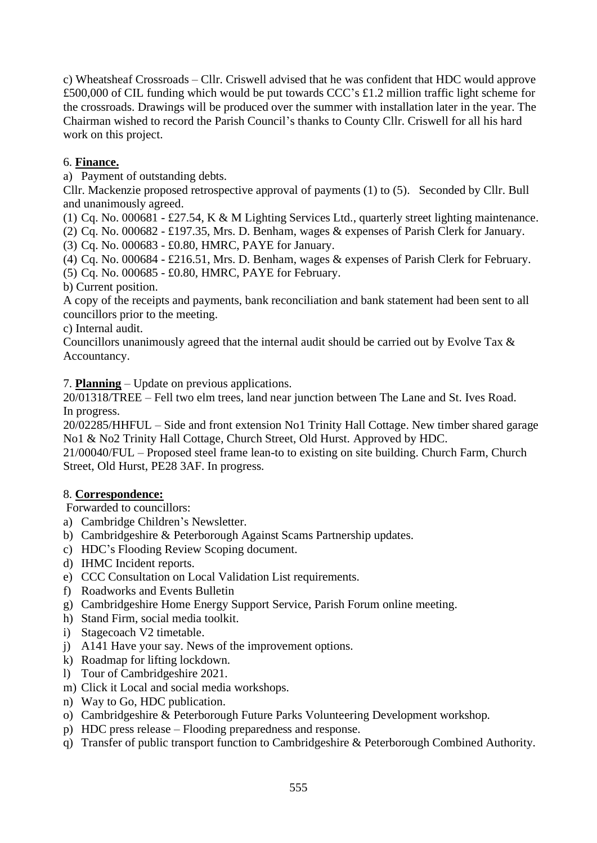c) Wheatsheaf Crossroads – Cllr. Criswell advised that he was confident that HDC would approve £500,000 of CIL funding which would be put towards CCC's £1.2 million traffic light scheme for the crossroads. Drawings will be produced over the summer with installation later in the year. The Chairman wished to record the Parish Council's thanks to County Cllr. Criswell for all his hard work on this project.

# 6. **Finance.**

a) Payment of outstanding debts.

Cllr. Mackenzie proposed retrospective approval of payments (1) to (5). Seconded by Cllr. Bull and unanimously agreed.

(1) Cq. No. 000681 - £27.54, K & M Lighting Services Ltd., quarterly street lighting maintenance.

(2) Cq. No. 000682 - £197.35, Mrs. D. Benham, wages & expenses of Parish Clerk for January.

(3) Cq. No. 000683 - £0.80, HMRC, PAYE for January.

(4) Cq. No. 000684 - £216.51, Mrs. D. Benham, wages & expenses of Parish Clerk for February.

(5) Cq. No. 000685 - £0.80, HMRC, PAYE for February.

b) Current position.

A copy of the receipts and payments, bank reconciliation and bank statement had been sent to all councillors prior to the meeting.

c) Internal audit.

Councillors unanimously agreed that the internal audit should be carried out by Evolve Tax & Accountancy.

7. **Planning** – Update on previous applications.

20/01318/TREE – Fell two elm trees, land near junction between The Lane and St. Ives Road. In progress.

20/02285/HHFUL – Side and front extension No1 Trinity Hall Cottage. New timber shared garage No1 & No2 Trinity Hall Cottage, Church Street, Old Hurst. Approved by HDC.

21/00040/FUL – Proposed steel frame lean-to to existing on site building. Church Farm, Church Street, Old Hurst, PE28 3AF. In progress.

## 8. **Correspondence:**

Forwarded to councillors:

- a) Cambridge Children's Newsletter.
- b) Cambridgeshire & Peterborough Against Scams Partnership updates.
- c) HDC's Flooding Review Scoping document.
- d) IHMC Incident reports.
- e) CCC Consultation on Local Validation List requirements.
- f) Roadworks and Events Bulletin
- g) Cambridgeshire Home Energy Support Service, Parish Forum online meeting.
- h) Stand Firm, social media toolkit.
- i) Stagecoach V2 timetable.
- j) A141 Have your say. News of the improvement options.
- k) Roadmap for lifting lockdown.
- l) Tour of Cambridgeshire 2021.
- m) Click it Local and social media workshops.
- n) Way to Go, HDC publication.
- o) Cambridgeshire & Peterborough Future Parks Volunteering Development workshop.
- p) HDC press release Flooding preparedness and response.
- q) Transfer of public transport function to Cambridgeshire & Peterborough Combined Authority.